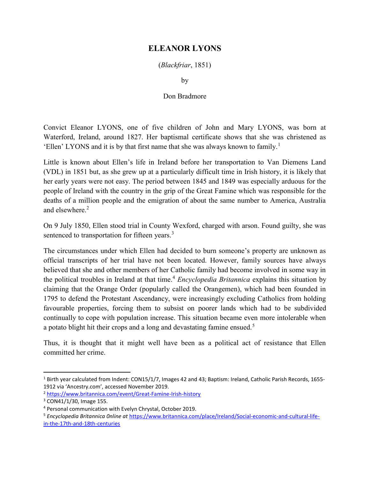## ELEANOR LYONS

(Blackfriar, 1851)

by

## Don Bradmore

Convict Eleanor LYONS, one of five children of John and Mary LYONS, was born at Waterford, Ireland, around 1827. Her baptismal certificate shows that she was christened as 'Ellen' LYONS and it is by that first name that she was always known to family.<sup>1</sup>

Little is known about Ellen's life in Ireland before her transportation to Van Diemens Land (VDL) in 1851 but, as she grew up at a particularly difficult time in Irish history, it is likely that her early years were not easy. The period between 1845 and 1849 was especially arduous for the people of Ireland with the country in the grip of the Great Famine which was responsible for the deaths of a million people and the emigration of about the same number to America, Australia and elsewhere.<sup>2</sup>

On 9 July 1850, Ellen stood trial in County Wexford, charged with arson. Found guilty, she was sentenced to transportation for fifteen years.<sup>3</sup>

The circumstances under which Ellen had decided to burn someone's property are unknown as official transcripts of her trial have not been located. However, family sources have always believed that she and other members of her Catholic family had become involved in some way in the political troubles in Ireland at that time.<sup>4</sup> Encyclopedia Britannica explains this situation by claiming that the Orange Order (popularly called the Orangemen), which had been founded in 1795 to defend the Protestant Ascendancy, were increasingly excluding Catholics from holding favourable properties, forcing them to subsist on poorer lands which had to be subdivided continually to cope with population increase. This situation became even more intolerable when a potato blight hit their crops and a long and devastating famine ensued.<sup>5</sup>

Thus, it is thought that it might well have been as a political act of resistance that Ellen committed her crime.

<sup>&</sup>lt;sup>1</sup> Birth year calculated from Indent: CON15/1/7, Images 42 and 43; Baptism: Ireland, Catholic Parish Records, 1655-1912 via 'Ancestry.com', accessed November 2019.

<sup>2</sup> https://www.britannica.com/event/Great-Famine-Irish-history

<sup>3</sup> CON41/1/30, Image 155.

<sup>4</sup> Personal communication with Evelyn Chrystal, October 2019.

<sup>5</sup> Encyclopedia Britannica 0nline at https://www.britannica.com/place/Ireland/Social-economic-and-cultural-lifein-the-17th-and-18th-centuries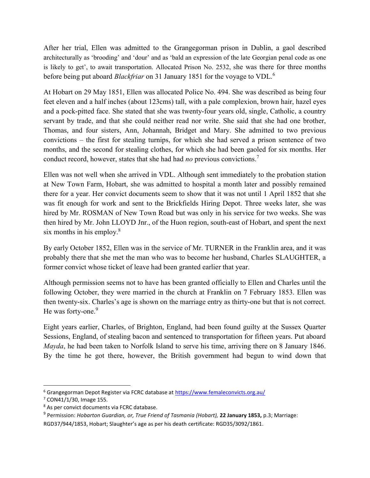After her trial, Ellen was admitted to the Grangegorman prison in Dublin, a gaol described architecturally as 'brooding' and 'dour' and as 'bald an expression of the late Georgian penal code as one is likely to get', to await transportation. Allocated Prison No. 2532, she was there for three months before being put aboard *Blackfriar* on 31 January 1851 for the voyage to VDL.<sup>6</sup>

At Hobart on 29 May 1851, Ellen was allocated Police No. 494. She was described as being four feet eleven and a half inches (about 123cms) tall, with a pale complexion, brown hair, hazel eyes and a pock-pitted face. She stated that she was twenty-four years old, single, Catholic, a country servant by trade, and that she could neither read nor write. She said that she had one brother, Thomas, and four sisters, Ann, Johannah, Bridget and Mary. She admitted to two previous convictions – the first for stealing turnips, for which she had served a prison sentence of two months, and the second for stealing clothes, for which she had been gaoled for six months. Her conduct record, however, states that she had had no previous convictions.<sup>7</sup>

Ellen was not well when she arrived in VDL. Although sent immediately to the probation station at New Town Farm, Hobart, she was admitted to hospital a month later and possibly remained there for a year. Her convict documents seem to show that it was not until 1 April 1852 that she was fit enough for work and sent to the Brickfields Hiring Depot. Three weeks later, she was hired by Mr. ROSMAN of New Town Road but was only in his service for two weeks. She was then hired by Mr. John LLOYD Jnr., of the Huon region, south-east of Hobart, and spent the next six months in his employ. $8$ 

By early October 1852, Ellen was in the service of Mr. TURNER in the Franklin area, and it was probably there that she met the man who was to become her husband, Charles SLAUGHTER, a former convict whose ticket of leave had been granted earlier that year.

Although permission seems not to have has been granted officially to Ellen and Charles until the following October, they were married in the church at Franklin on 7 February 1853. Ellen was then twenty-six. Charles's age is shown on the marriage entry as thirty-one but that is not correct. He was forty-one.<sup>9</sup>

Eight years earlier, Charles, of Brighton, England, had been found guilty at the Sussex Quarter Sessions, England, of stealing bacon and sentenced to transportation for fifteen years. Put aboard Mayda, he had been taken to Norfolk Island to serve his time, arriving there on 8 January 1846. By the time he got there, however, the British government had begun to wind down that

<sup>&</sup>lt;sup>6</sup> Grangegorman Depot Register via FCRC database at https://www.femaleconvicts.org.au/

<sup>7</sup> CON41/1/30, Image 155.

<sup>&</sup>lt;sup>8</sup> As per convict documents via FCRC database.

<sup>&</sup>lt;sup>9</sup> Permission: Hobarton Guardian, or, True Friend of Tasmania (Hobart), 22 January 1853, p.3; Marriage: RGD37/944/1853, Hobart; Slaughter's age as per his death certificate: RGD35/3092/1861.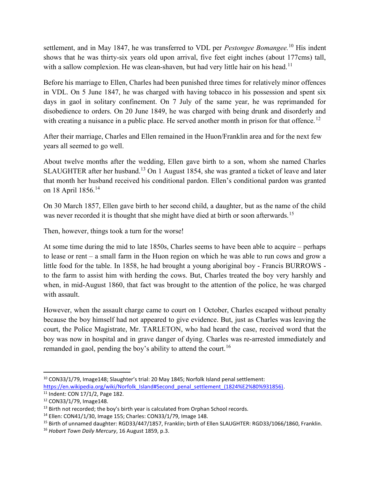settlement, and in May 1847, he was transferred to VDL per *Pestongee Bomangee*.<sup>10</sup> His indent shows that he was thirty-six years old upon arrival, five feet eight inches (about 177cms) tall, with a sallow complexion. He was clean-shaven, but had very little hair on his head.<sup>11</sup>

Before his marriage to Ellen, Charles had been punished three times for relatively minor offences in VDL. On 5 June 1847, he was charged with having tobacco in his possession and spent six days in gaol in solitary confinement. On 7 July of the same year, he was reprimanded for disobedience to orders. On 20 June 1849, he was charged with being drunk and disorderly and with creating a nuisance in a public place. He served another month in prison for that offence.<sup>12</sup>

After their marriage, Charles and Ellen remained in the Huon/Franklin area and for the next few years all seemed to go well.

About twelve months after the wedding, Ellen gave birth to a son, whom she named Charles SLAUGHTER after her husband.<sup>13</sup> On 1 August 1854, she was granted a ticket of leave and later that month her husband received his conditional pardon. Ellen's conditional pardon was granted on 18 April 1856.<sup>14</sup>

On 30 March 1857, Ellen gave birth to her second child, a daughter, but as the name of the child was never recorded it is thought that she might have died at birth or soon afterwards.<sup>15</sup>

Then, however, things took a turn for the worse!

At some time during the mid to late 1850s, Charles seems to have been able to acquire – perhaps to lease or rent – a small farm in the Huon region on which he was able to run cows and grow a little food for the table. In 1858, he had brought a young aboriginal boy - Francis BURROWS to the farm to assist him with herding the cows. But, Charles treated the boy very harshly and when, in mid-August 1860, that fact was brought to the attention of the police, he was charged with assault.

However, when the assault charge came to court on 1 October, Charles escaped without penalty because the boy himself had not appeared to give evidence. But, just as Charles was leaving the court, the Police Magistrate, Mr. TARLETON, who had heard the case, received word that the boy was now in hospital and in grave danger of dying. Charles was re-arrested immediately and remanded in gaol, pending the boy's ability to attend the court.<sup>16</sup>

<sup>10</sup> CON33/1/79, Image148; Slaughter's trial: 20 May 1845; Norfolk Island penal settlement:

https://en.wikipedia.org/wiki/Norfolk\_Island#Second\_penal\_settlement\_(1824%E2%80%931856).

<sup>11</sup> Indent: CON 17/1/2, Page 182.

<sup>12</sup> CON33/1/79, Image148.

<sup>&</sup>lt;sup>13</sup> Birth not recorded; the boy's birth year is calculated from Orphan School records.

<sup>14</sup> Ellen: CON41/1/30, Image 155; Charles: CON33/1/79, Image 148.

<sup>15</sup> Birth of unnamed daughter: RGD33/447/1857, Franklin; birth of Ellen SLAUGHTER: RGD33/1066/1860, Franklin.

<sup>&</sup>lt;sup>16</sup> Hobart Town Daily Mercury, 16 August 1859, p.3.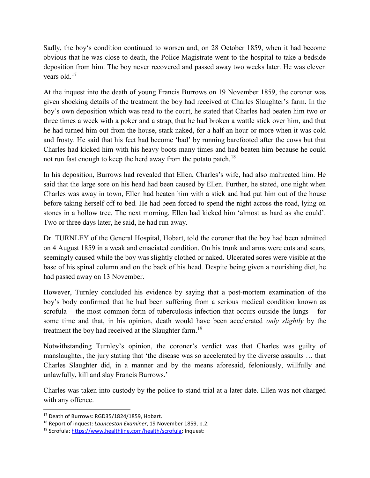Sadly, the boy's condition continued to worsen and, on 28 October 1859, when it had become obvious that he was close to death, the Police Magistrate went to the hospital to take a bedside deposition from him. The boy never recovered and passed away two weeks later. He was eleven years old.<sup>17</sup>

At the inquest into the death of young Francis Burrows on 19 November 1859, the coroner was given shocking details of the treatment the boy had received at Charles Slaughter's farm. In the boy's own deposition which was read to the court, he stated that Charles had beaten him two or three times a week with a poker and a strap, that he had broken a wattle stick over him, and that he had turned him out from the house, stark naked, for a half an hour or more when it was cold and frosty. He said that his feet had become 'bad' by running barefooted after the cows but that Charles had kicked him with his heavy boots many times and had beaten him because he could not run fast enough to keep the herd away from the potato patch.<sup>18</sup>

In his deposition, Burrows had revealed that Ellen, Charles's wife, had also maltreated him. He said that the large sore on his head had been caused by Ellen. Further, he stated, one night when Charles was away in town, Ellen had beaten him with a stick and had put him out of the house before taking herself off to bed. He had been forced to spend the night across the road, lying on stones in a hollow tree. The next morning, Ellen had kicked him 'almost as hard as she could'. Two or three days later, he said, he had run away.

Dr. TURNLEY of the General Hospital, Hobart, told the coroner that the boy had been admitted on 4 August 1859 in a weak and emaciated condition. On his trunk and arms were cuts and scars, seemingly caused while the boy was slightly clothed or naked. Ulcerated sores were visible at the base of his spinal column and on the back of his head. Despite being given a nourishing diet, he had passed away on 13 November.

However, Turnley concluded his evidence by saying that a post-mortem examination of the boy's body confirmed that he had been suffering from a serious medical condition known as scrofula – the most common form of tuberculosis infection that occurs outside the lungs – for some time and that, in his opinion, death would have been accelerated *only slightly* by the treatment the boy had received at the Slaughter farm.<sup>19</sup>

Notwithstanding Turnley's opinion, the coroner's verdict was that Charles was guilty of manslaughter, the jury stating that 'the disease was so accelerated by the diverse assaults … that Charles Slaughter did, in a manner and by the means aforesaid, feloniously, willfully and unlawfully, kill and slay Francis Burrows.'

Charles was taken into custody by the police to stand trial at a later date. Ellen was not charged with any offence.

<sup>&</sup>lt;sup>17</sup> Death of Burrows: RGD35/1824/1859, Hobart.

<sup>&</sup>lt;sup>18</sup> Report of inquest: *Launceston Examiner*, 19 November 1859, p.2.

<sup>19</sup> Scrofula: https://www.healthline.com/health/scrofula; Inquest: